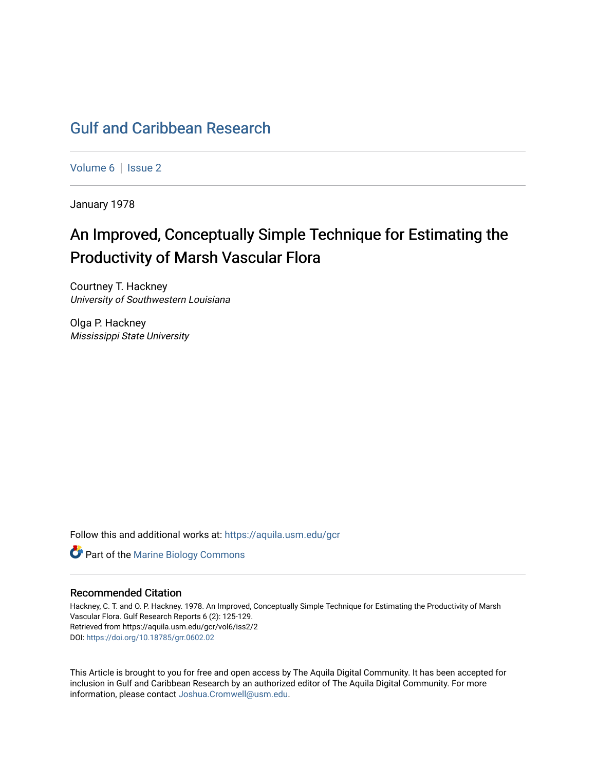# [Gulf and Caribbean Research](https://aquila.usm.edu/gcr)

[Volume 6](https://aquila.usm.edu/gcr/vol6) | Issue 2

January 1978

# An Improved, Conceptually Simple Technique for Estimating the Productivity of Marsh Vascular Flora

Courtney T. Hackney University of Southwestern Louisiana

Olga P. Hackney Mississippi State University

Follow this and additional works at: [https://aquila.usm.edu/gcr](https://aquila.usm.edu/gcr?utm_source=aquila.usm.edu%2Fgcr%2Fvol6%2Fiss2%2F2&utm_medium=PDF&utm_campaign=PDFCoverPages) 



### Recommended Citation

Hackney, C. T. and O. P. Hackney. 1978. An Improved, Conceptually Simple Technique for Estimating the Productivity of Marsh Vascular Flora. Gulf Research Reports 6 (2): 125-129. Retrieved from https://aquila.usm.edu/gcr/vol6/iss2/2 DOI: <https://doi.org/10.18785/grr.0602.02>

This Article is brought to you for free and open access by The Aquila Digital Community. It has been accepted for inclusion in Gulf and Caribbean Research by an authorized editor of The Aquila Digital Community. For more information, please contact [Joshua.Cromwell@usm.edu.](mailto:Joshua.Cromwell@usm.edu)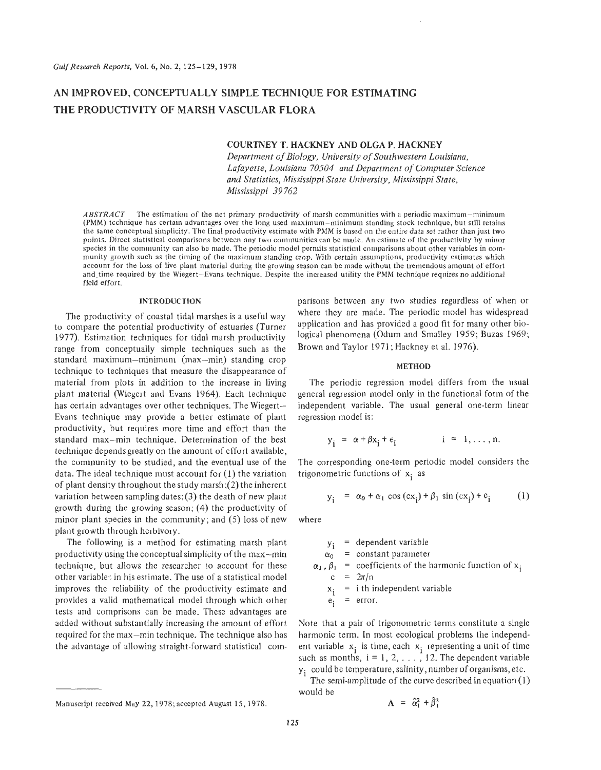## **AN IMPROVED, CONCEPTUALLY SIMPLE TECHNIQUE FOR ESTIMATING THE PRODUCTIVITY OF MARSH VASCULAR FLORA**

### **COURTNEY T. HACKNEY AND OLGA P. HACKNEY**

*Department* of *Biology, University of Southwestern Louisiana, Lafayette, Louisiana 70504 and Department of Computer Science and Statistics, Mississippi State University, Mississippi State, Mississippi 39 762* 

*ABSTRACT* The estimation of the net primary productivity of marsh communities with a periodic maximum-minimum (PMM) technique has certain advantages over the long used maximum-minimum standing stock technique, but still retains the same conceptual simplicity. The final productivity estimate with PMM is based an the entire data set rathcr than just two points. Direct statistical comparisons between any two communities can be made. An estimate of the productivity by minor species in the community can also be made. The periodic model permits statistical comparisons about other variables in community growth such as the timing of the maximum standing crop. With certain assumptions, productivity estimates which account for the loss of live plant matcrial during the growing season can be made without the tremendous amount of effort and-time required by the Wiegert-Evans technique. Despite the increascd utility the PMM technique requires no additional field effort.

#### **INTRODUCTION**

The productivity of coastal tidal marshes is a useful way to compare the potential productivity of estuaries (Turner 1977). Estimation techniques for tidal marsh productivity range from conceptually simple techniques such as the standard maximum-minimum (max-min) standing crop technique to techniques that measure the disappearance of material from plots in addition to the increase in living plant material (Wiegert and Evans 1964). Each technique has certain advantages over other techniques. The Wiegert-Evans technique may provide a better estimate of plant productivity, but requires more time and effort than the standard max-min technique. Determination of the best technique depends greatly on the amount of effort available, the community to be studied, and the eventual use of the data. The ideal technique must account for (1) the variation of plant density throughout the study marsh;(2) the inherent variation between sampling dates;(3) the death of new plant growth during the growing season; (4) the productivity of minor plant species in the community; and *(5)* loss of new plant growth through herbivory.

The following is a method for estimating marsh plant productivity using the conceptual simplicity of the max-min technique, but allows the researcher to account for these other variables in his estimate. The use of a statistical model improves the reliability of the productivity estimate and provides a valid mathematical model through which other tests and comprisons can be made. These advantages are added without substantially increasing the amount of effort required for the max-min technique, The technique also has the advantage of allowing straight-forward statistical comparisons between any two studies regardless of when or where they are made. The periodic model has widespread application and has provided a good fit for many other biological phenomena (Odum and Smalley 1959; Buzas 1969; Brown and Taylor 1971; Hackney et al. 1976).

#### **METHOD**

The periodic regression model differs from the usual general regression model only in the functional form of the independent variable. The usual general one-term linear regression model is:

$$
y_i = \alpha + \beta x_i + \epsilon_i \qquad i = 1, ..., n.
$$

The corresponding one-term periodic model considers the trigonometric functions of  $x_i$  as

$$
y_{i} = \alpha_{0} + \alpha_{1} \cos (cx_{i}) + \beta_{1} \sin (cx_{i}) + e_{i}
$$
 (1)

where

$$
y_i = dependent variable
$$
  
\n
$$
\alpha_0 = constant parameter
$$
  
\n
$$
\alpha_1, \beta_1 = coefficients of the harmonic function of x_i
$$
  
\n
$$
c = 2\pi/n
$$
  
\n
$$
x_i = i \text{ th independent variable}
$$

$$
e_j = error.
$$

Note that a pair of trigonometric terms constitute a single harmonic term. In most ecological problems the independent variable  $x_i$  is time, each  $x_i$  representing a unit of time such as months,  $i = 1, 2, \ldots$ , 12. The dependent variable yi could be temperature, salinity, number of organisms, etc.

The semi-amplitude of the curve described in equation (1) would be

$$
A = \hat{\alpha}_1^2 + \hat{\beta}_1^2
$$

Manuscript received May 22, 1978; accepted August 15,1978.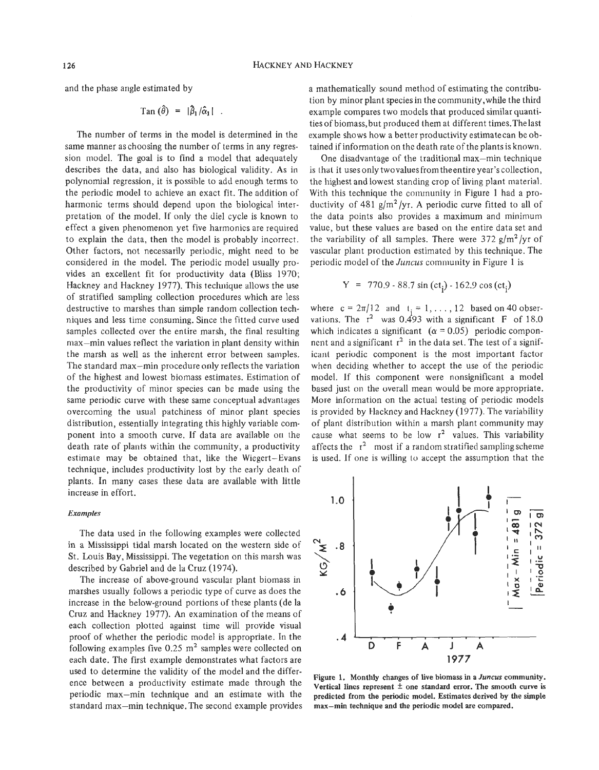and the phase angle estimated by

$$
\text{Tan}(\hat{\theta}) = |\hat{\beta}_1/\hat{\alpha}_1|.
$$

The number of terms in the model is determined in the same manner as choosing the number of terms in any regression model. The goal is to find a model that adequately describes the data, and also has biological validity. **As** in polynomial regression, it is possible to add enough terms to the periodic model to achieve an exact fit. The addition of harmonic terms should depend upon the biological interpretation of the model. **If** only the diel cycle is known to effect a given phenomenon yet five harmonics are required to explain the data, then the model is probably incorrect. Other factors, not necessarily periodic, might need to be considered in the model. The periodic model usually provides an excellent fit for productivity data (Bliss 1970; Hackney and Hackney 1977). This technique allows the use of stratified sampling collection procedures which are less destructive to marshes than simple random collection techniques and less time consuming. Since the fitted curve used samples collected over the entire marsh, the final resulting max-min values reflect the variation in plant density within the marsh as well as the inherent error between samples. The standard max-min procedure only reflects the variation of the highest and lowest biomass estimates. Estimation of the productivity of minor species can be made using the same periodic curve with these same conceptual advantages overcoming the usual patchiness of minor plant species distribution, essentially integrating this highly variable component into a smooth curve. If data are available on the death rate of plants within the community, a productivity estimate may be obtained that, like the Wiegert-Evans technique, includes productivity lost by the early death of plants. In many cases these data are available with little increase in effort.

#### *Examples*

The data used in the following examples were collected in a Mississippi tidal marsh located on the western side of St. Louis Bay, Mississippi. The vegetation on this marsh was described by Gabriel and de la Cruz (1974).

The increase of above-ground vascular plant biomass in marshes usually follows a periodic type of curve as does the increase in the below-ground portions of these plants (de la Cruz and Hackney 1977). **An** examination of the means of each collection plotted against time will provide visual proof of whether the periodic model is appropriate. In the following examples five 0.25 **m2** samples were collected on each date. The first example demonstrates what factors are used to determine the validity of the model and the difference between a productivity estimate made through the periodic max-min technique and an estimate with the standard max-min technique. The second example provides max-min technique and the periodic model are compared.

a mathematically sound method of estimating the contribution by minor plant species in the community,while the third example compares two models that produced similar quantities of biomass,but produced them at different times.Thelast example shows how a better productivity estimatecan be obtained if information on the death rate of the plants is known.

One disadvantage of the traditional max-min technique is that it uses only two values from the entire year's collection, the highest and lowest standing crop of living plant material. With this technique the community in Figure 1 had a productivity of 481 g/m2/yr. **A** periodic curve fitted to all of the data points also provides a maximum and minimum value, but these values are based on the entire data set and the variability of all samples. There were  $372$  g/m<sup>2</sup>/yr of vascular plant production estimated by this technique. The periodic model of the *Juncus* community in Figure 1 is

$$
Y = 770.9 - 88.7 \sin (ct_i) - 162.9 \cos (ct_i)
$$

where  $c = 2\pi/12$  and  $t_i = 1, \ldots, 12$  based on 40 observations. The  $r^2$  was 0.493 with a significant F of 18.0 which indicates a significant  $(\alpha = 0.05)$  periodic componnent and a significant  $r^2$  in the data set. The test of a significant periodic component is the *most* important factor when deciding whether to accept the use of the periodic model. If this component were nonsignificant a model based just on the overall mean would be more appropriate. More information on the actual testing of periodic models is provided by Hackney and Hackney (1977). The variability of plant distribution within a marsh plant community may cause what seems to be low  $r^2$  values. This variability affects the  $r^2$  most if a random stratified sampling scheme is used. If one is willing to accept the assumption that the



**Figure 1. Monthly changes of live biomass in a** *Juncus* **community.**  Vertical lines represent  $\pm$  one standard error. The smooth curve is **predicted from the periodic model. Estimates derived by the simple**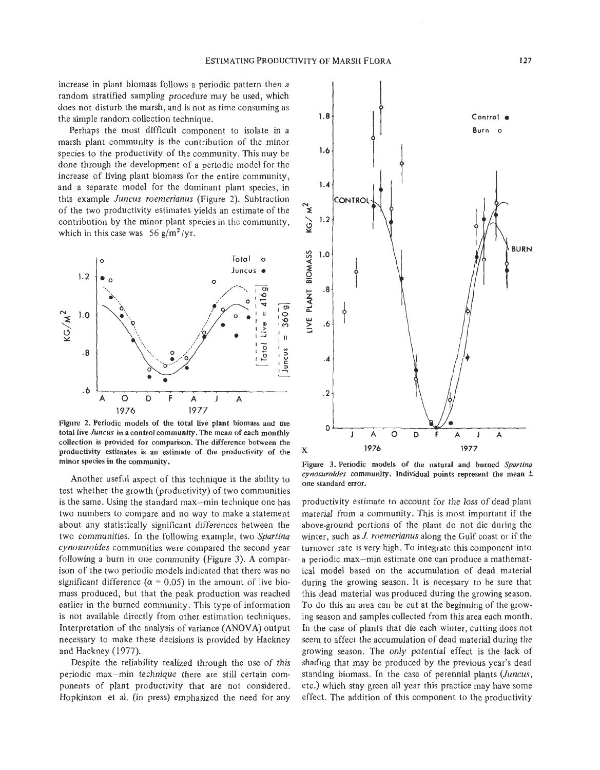increase in plant biomass follows a periodic pattern then a random stratified sampling procedure may be used, which does not disturb the marsh, and is not as time consuming as the simple random collection technique.

Perhaps the most difficult component to isolate in a marsh plant community is the contribution of the minor species *to* the productivity of the community. This may be done through the development of a periodic model for the increase of living plant biomass for the entire community, and a separate model for the dominant plant species, in this example *Juncus roemerianus* (Figure *2).* Subtraction of the two productivity estimates yields an estimate of the contribution by the minor plant species in the community, which in this case was  $56 \frac{g}{m^2}}$ /yr.



**Figure 2. Periodic models of the total Live plant biomass and the total live** *Juncus* **in a control community. The mean of each monthly collection is provided for comparison. The difference between the productivity estimates is an estimate of the productivity of the minor species in the community.** 

Another useful aspect of this technique is the ability to test whether the growth (productivity) of two communities is the same. Using the standard max-min technique one has two numbers to compare and no way to make a statement about any statistically significant differences between the two communities. In the following example, two *Spartina cynosuroides* communities were compared the second year following a burn in one community (Figure 3). **A** comparison of the two periodic models indicated that there was no significant difference ( $\alpha$  = 0.05) in the amount of live biomass produced, but that the peak production was reached earlier in the burned community. This type of information is not available directly from other estimation techniques. Interpretation of the analysis of variance **(ANOVA)** output necessary to make these decisions is provided by Hackney and Hackney (1977).

Despite the reliability realized through the use of this periodic max-min technique there are still certain components of plant productivity that are not considered. Hopkinson et al. (in press) emphasized the need for any



**Figure 3. Periodic models of the natural and burned** *Spartina cynosuroides* **community. Individual points represent the mean** k **one standard error.** 

productivity estimate to account for the loss of dead plant material from a community. This is most important if the above-ground portions of the plant do not die during the winter, such as *J. roemerianus* along the Gulf coast or if the turnover rate is very high. To integrate this component into a periodic max-min estimate one can produce a mathematical model based on the accumulation of dead material during the growing season. It is necessary to be sure that this dead material was produced during the growing season. To do this an area can be cut at the beginning of the growing season and samples collected from this area each month. In the case of plants that die each winter, cutting does not seem to affect the accumulation of dead material during the growing season. The only potential effect is the lack of shading that may be produced by the previous year's dead standing biomass. In the case of perennial plants *(Juncus,*  etc.) which stay green all year this practice may have some effect. The addition of this component to the productivity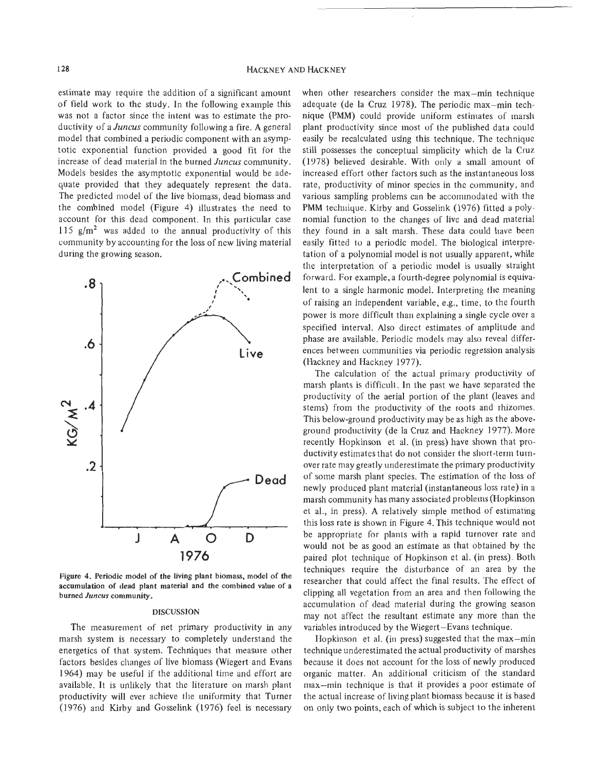estimate may require the addition of a significant amount of field work to the study. In the following example this was not a factor since the intent was to estimate the productivity of a *Juncus* community following a fire. **A** general model that combined a periodic component with an asymptotic exponential function provided a good fit for the increase of dead material in the burned *Juncus* community. Models besides the asymptotic exponential would be adequate provided that they adequately represent the data. The predicted model of the live biomass, dead biomass and the combined model (Figure 4) illustrates the need to account for this dead component. In this particular case 115  $g/m^2$  was added to the annual productivity of this community by accounting for the loss of new living material during the growing season.



**Figure 4. Periodic model of the living plant biomass, model of the accumulation of dead plant material and the combined value of a burned** *Juncus* **community.** 

#### **DISCUSSION**

The measurement of net primary productivity in any marsh system is necessary to completely understand the energetics of that system. Techniques that measure other factors besides changes of live biomass (Wiegert and Evans 1964) may be useful if the additional time and effort are available. It is unlikely that the literature on marsh plant productivity will ever achieve the uniformity that Turner (1976) and Kirby and Gosselink (1976) feel is necessary

when other researchers consider the max-min technique adequate (de la Cruz 1978). The periodic max-min technique (PMM) could provide uniform estimates of marsh plant productivity since most of the published data could easily be recalculated using this technique. The technique still possesses the conceptual simplicity which de la Cruz (1978) believed desirable. With only a small amount of increased effort other factors such as the instantaneous loss rate, productivity of minor species in the community, and various sampling problems can be accommodated with the **PMM** technique. Kirby and Gosselink (1976) fitted a polynomial function to the changes of live and dead material they found in a salt marsh. These data could have been easily fitted to a periodic model. The biological interpretation of a polynomial model is not usually apparent, while the interpretation of a periodic model is usually straight forward. For example, a fourth-degree polynomial is equivalent to a single harmonic model. Interpreting the meaning of raising an independent variable, e.g., time, to the fourth power is more difficult than explaining a single cycle over a specified interval. Also direct estimates of amplitude and phase are available. Periodic models may also reveal differences between communities via periodic regression analysis (Hackney and Hackney 1977).

The calculation of the actual primary productivity of marsh plants is difficult. In the past we have separated the productivity of the aerial portion of the plant (leaves and stems) from the productivity of the roots and rhizomes. This below-ground productivity may be as high as the aboveground productivity (de la Cruz and Hackney 1977). More recently Hopkinson et al. (in press) have shown that productivity estimates that do not consider the short-term turnover rate may greatly underestimate the primary productivity of some marsh plant species. The estimation of the loss of newly produced plant material (instantaneous loss rate) in a marsh community has many associated problems (Hopkinson et al., in press). **A** relatively simple method of estimating this loss rate is shown in Figure 4. This technique would not be appropriate for plants with a rapid turnover rate and would not be as good an estimate as that obtained by the paired plot technique of Hopkinson et al. (in press). Both techniques require the disturbance of an area by the researcher that could affect the final results. The effect of clipping all vegetation from an area and then following the accumulation of dead material during the growing season may not affect the resultant estimate any more than the variables introduced by the Wiegert-Evans technique.

Hopkinson et al. (in press) suggested that the max-min technique underestimated the actual productivity of marshes because it does not account for the loss of newly produced organic matter. **An** additional criticism of the standard max-min technique is that it provides a poor estimate of the actual increase of living plant biomass because it is based on only two points, each of which is subject to the inherent